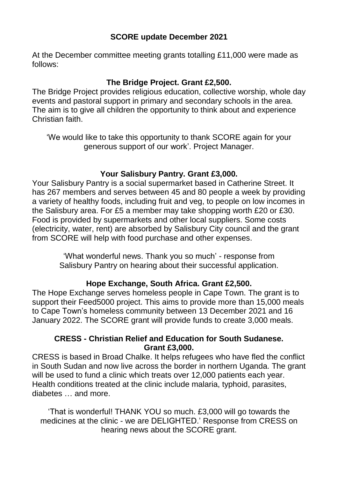# **SCORE update December 2021**

At the December committee meeting grants totalling £11,000 were made as follows:

### **The Bridge Project. Grant £2,500.**

The Bridge Project provides religious education, collective worship, whole day events and pastoral support in primary and secondary schools in the area. The aim is to give all children the opportunity to think about and experience Christian faith.

'We would like to take this opportunity to thank SCORE again for your generous support of our work'. Project Manager.

### **Your Salisbury Pantry. Grant £3,000.**

Your Salisbury Pantry is a social supermarket based in Catherine Street. It has 267 members and serves between 45 and 80 people a week by providing a variety of healthy foods, including fruit and veg, to people on low incomes in the Salisbury area. For £5 a member may take shopping worth £20 or £30. Food is provided by supermarkets and other local suppliers. Some costs (electricity, water, rent) are absorbed by Salisbury City council and the grant from SCORE will help with food purchase and other expenses.

> 'What wonderful news. Thank you so much' - response from Salisbury Pantry on hearing about their successful application.

# **Hope Exchange, South Africa. Grant £2,500.**

The Hope Exchange serves homeless people in Cape Town. The grant is to support their Feed5000 project. This aims to provide more than 15,000 meals to Cape Town's homeless community between 13 December 2021 and 16 January 2022. The SCORE grant will provide funds to create 3,000 meals.

#### **CRESS - Christian Relief and Education for South Sudanese. Grant £3,000.**

CRESS is based in Broad Chalke. It helps refugees who have fled the conflict in South Sudan and now live across the border in northern Uganda. The grant will be used to fund a clinic which treats over 12,000 patients each year. Health conditions treated at the clinic include malaria, typhoid, parasites, diabetes … and more.

'That is wonderful! THANK YOU so much. £3,000 will go towards the medicines at the clinic - we are DELIGHTED.' Response from CRESS on hearing news about the SCORE grant.